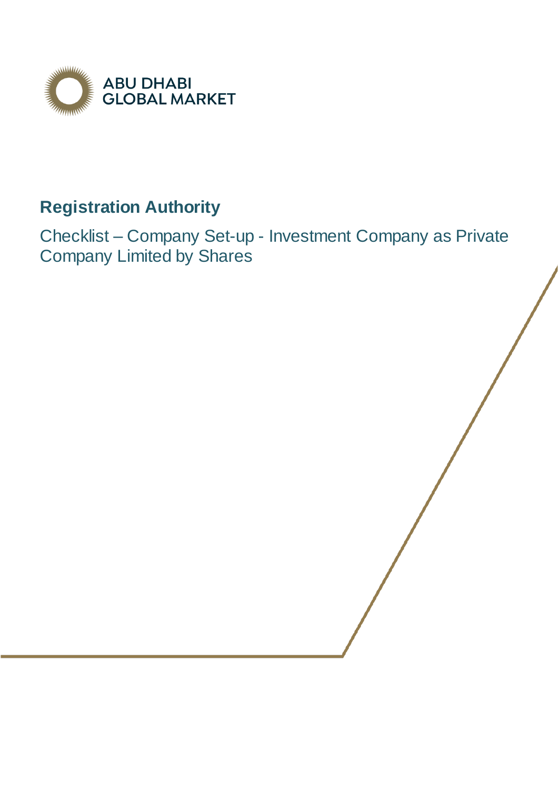

## **Registration Authority**

Checklist – Company Set-up - Investment Company as Private Company Limited by Shares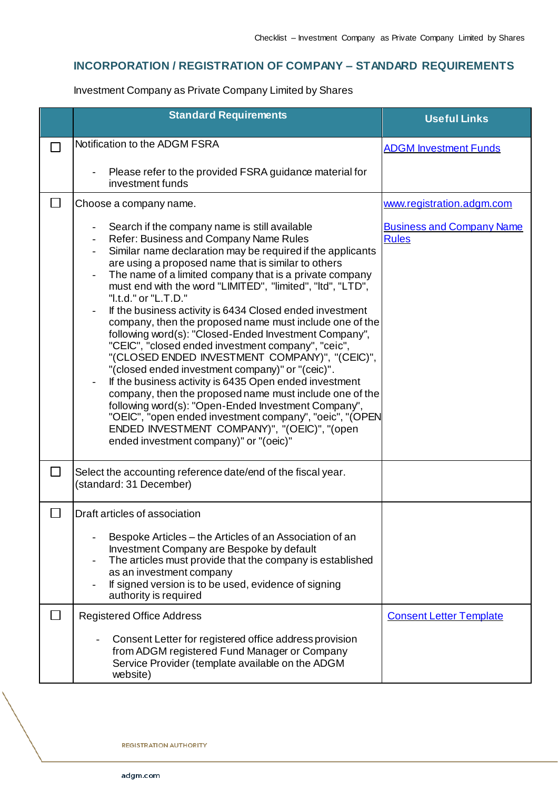## **INCORPORATION / REGISTRATION OF COMPANY – STANDARD REQUIREMENTS**

Investment Company as Private Company Limited by Shares

|        | <b>Standard Requirements</b>                                                                                                                                                                                                                                                                                                                                                                                                                                                                                                                                                                                                                                                                                                                                                                                                                                                                                                                                                                                                               | <b>Useful Links</b>                              |
|--------|--------------------------------------------------------------------------------------------------------------------------------------------------------------------------------------------------------------------------------------------------------------------------------------------------------------------------------------------------------------------------------------------------------------------------------------------------------------------------------------------------------------------------------------------------------------------------------------------------------------------------------------------------------------------------------------------------------------------------------------------------------------------------------------------------------------------------------------------------------------------------------------------------------------------------------------------------------------------------------------------------------------------------------------------|--------------------------------------------------|
|        | Notification to the ADGM FSRA                                                                                                                                                                                                                                                                                                                                                                                                                                                                                                                                                                                                                                                                                                                                                                                                                                                                                                                                                                                                              | <b>ADGM Investment Funds</b>                     |
|        | Please refer to the provided FSRA guidance material for<br>٠<br>investment funds                                                                                                                                                                                                                                                                                                                                                                                                                                                                                                                                                                                                                                                                                                                                                                                                                                                                                                                                                           |                                                  |
|        | Choose a company name.                                                                                                                                                                                                                                                                                                                                                                                                                                                                                                                                                                                                                                                                                                                                                                                                                                                                                                                                                                                                                     | www.registration.adgm.com                        |
|        | Search if the company name is still available<br>Refer: Business and Company Name Rules<br>Similar name declaration may be required if the applicants<br>are using a proposed name that is similar to others<br>The name of a limited company that is a private company<br>must end with the word "LIMITED", "limited", "Itd", "LTD",<br>"I.t.d." or "L.T.D."<br>If the business activity is 6434 Closed ended investment<br>company, then the proposed name must include one of the<br>following word(s): "Closed-Ended Investment Company",<br>"CEIC", "closed ended investment company", "ceic",<br>"(CLOSED ENDED INVESTMENT COMPANY)", "(CEIC)",<br>"(closed ended investment company)" or "(ceic)".<br>If the business activity is 6435 Open ended investment<br>company, then the proposed name must include one of the<br>following word(s): "Open-Ended Investment Company",<br>"OEIC", "open ended investment company", "oeic", "(OPEN<br>ENDED INVESTMENT COMPANY)", "(OEIC)", "(open<br>ended investment company)" or "(oeic)" | <b>Business and Company Name</b><br><b>Rules</b> |
| $\Box$ | Select the accounting reference date/end of the fiscal year.<br>(standard: 31 December)                                                                                                                                                                                                                                                                                                                                                                                                                                                                                                                                                                                                                                                                                                                                                                                                                                                                                                                                                    |                                                  |
|        | Draft articles of association                                                                                                                                                                                                                                                                                                                                                                                                                                                                                                                                                                                                                                                                                                                                                                                                                                                                                                                                                                                                              |                                                  |
|        | Bespoke Articles – the Articles of an Association of an<br>Investment Company are Bespoke by default<br>The articles must provide that the company is established<br>as an investment company<br>If signed version is to be used, evidence of signing<br>authority is required                                                                                                                                                                                                                                                                                                                                                                                                                                                                                                                                                                                                                                                                                                                                                             |                                                  |
|        | <b>Registered Office Address</b>                                                                                                                                                                                                                                                                                                                                                                                                                                                                                                                                                                                                                                                                                                                                                                                                                                                                                                                                                                                                           | <b>Consent Letter Template</b>                   |
|        | Consent Letter for registered office address provision<br>from ADGM registered Fund Manager or Company<br>Service Provider (template available on the ADGM<br>website)                                                                                                                                                                                                                                                                                                                                                                                                                                                                                                                                                                                                                                                                                                                                                                                                                                                                     |                                                  |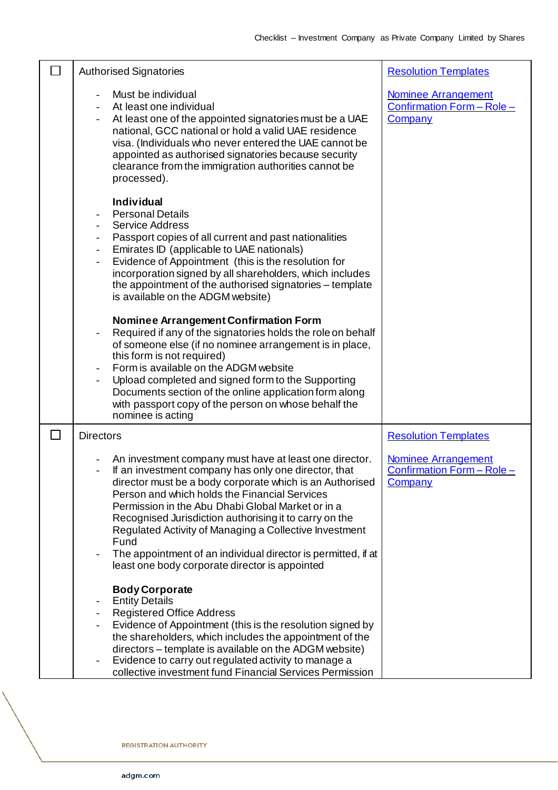|        | <b>Authorised Signatories</b>                                                                                                                                                                                                                                                                                                                                                                                                                                                                                                   | <b>Resolution Templates</b>                                                |
|--------|---------------------------------------------------------------------------------------------------------------------------------------------------------------------------------------------------------------------------------------------------------------------------------------------------------------------------------------------------------------------------------------------------------------------------------------------------------------------------------------------------------------------------------|----------------------------------------------------------------------------|
|        | Must be individual<br>At least one individual<br>At least one of the appointed signatories must be a UAE<br>national, GCC national or hold a valid UAE residence<br>visa. (Individuals who never entered the UAE cannot be<br>appointed as authorised signatories because security<br>clearance from the immigration authorities cannot be<br>processed).                                                                                                                                                                       | <b>Nominee Arrangement</b><br>Confirmation Form - Role -<br><b>Company</b> |
|        | <b>Individual</b><br><b>Personal Details</b><br><b>Service Address</b><br>Passport copies of all current and past nationalities<br>Emirates ID (applicable to UAE nationals)<br>Evidence of Appointment (this is the resolution for<br>incorporation signed by all shareholders, which includes<br>the appointment of the authorised signatories – template<br>is available on the ADGM website)                                                                                                                                |                                                                            |
|        | <b>Nominee Arrangement Confirmation Form</b><br>Required if any of the signatories holds the role on behalf<br>of someone else (if no nominee arrangement is in place,<br>this form is not required)<br>Form is available on the ADGM website<br>Upload completed and signed form to the Supporting<br>Documents section of the online application form along<br>with passport copy of the person on whose behalf the<br>nominee is acting                                                                                      |                                                                            |
| $\Box$ | <b>Directors</b>                                                                                                                                                                                                                                                                                                                                                                                                                                                                                                                | <b>Resolution Templates</b>                                                |
|        | An investment company must have at least one director.<br>If an investment company has only one director, that<br>director must be a body corporate which is an Authorised<br>Person and which holds the Financial Services<br>Permission in the Abu Dhabi Global Market or in a<br>Recognised Jurisdiction authorising it to carry on the<br>Regulated Activity of Managing a Collective Investment<br>Fund<br>The appointment of an individual director is permitted, if at<br>least one body corporate director is appointed | <b>Nominee Arrangement</b><br>Confirmation Form - Role -<br>Company        |
|        | <b>Body Corporate</b><br><b>Entity Details</b><br><b>Registered Office Address</b><br>Evidence of Appointment (this is the resolution signed by<br>the shareholders, which includes the appointment of the<br>directors – template is available on the ADGM website)<br>Evidence to carry out regulated activity to manage a<br>collective investment fund Financial Services Permission                                                                                                                                        |                                                                            |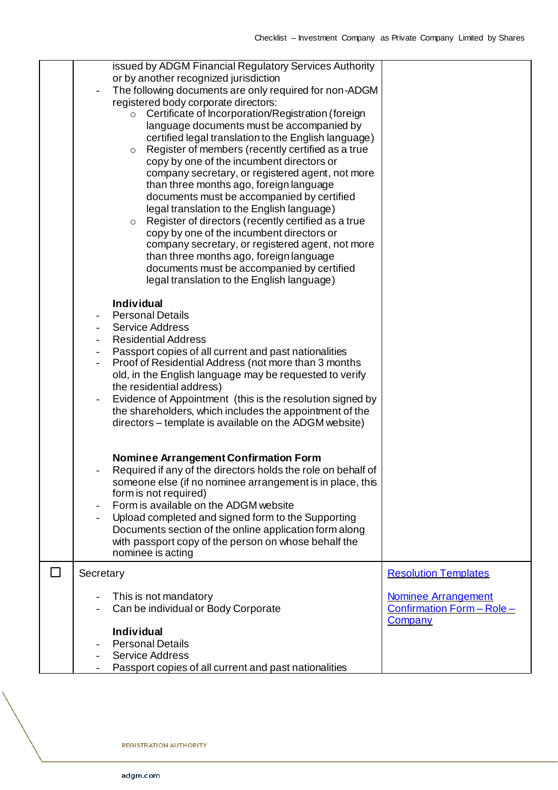|   | issued by ADGM Financial Regulatory Services Authority<br>or by another recognized jurisdiction<br>The following documents are only required for non-ADGM<br>registered body corporate directors:<br>Certificate of Incorporation/Registration (foreign<br>$\circ$<br>language documents must be accompanied by<br>certified legal translation to the English language)<br>Register of members (recently certified as a true<br>$\circ$<br>copy by one of the incumbent directors or<br>company secretary, or registered agent, not more<br>than three months ago, foreign language<br>documents must be accompanied by certified<br>legal translation to the English language)<br>Register of directors (recently certified as a true<br>$\circ$<br>copy by one of the incumbent directors or<br>company secretary, or registered agent, not more<br>than three months ago, foreign language<br>documents must be accompanied by certified<br>legal translation to the English language) |                                                                            |
|---|-------------------------------------------------------------------------------------------------------------------------------------------------------------------------------------------------------------------------------------------------------------------------------------------------------------------------------------------------------------------------------------------------------------------------------------------------------------------------------------------------------------------------------------------------------------------------------------------------------------------------------------------------------------------------------------------------------------------------------------------------------------------------------------------------------------------------------------------------------------------------------------------------------------------------------------------------------------------------------------------|----------------------------------------------------------------------------|
|   | <b>Individual</b><br><b>Personal Details</b><br><b>Service Address</b><br><b>Residential Address</b><br>Passport copies of all current and past nationalities<br>Proof of Residential Address (not more than 3 months<br>old, in the English language may be requested to verify<br>the residential address)<br>Evidence of Appointment (this is the resolution signed by<br>the shareholders, which includes the appointment of the<br>directors – template is available on the ADGM website)                                                                                                                                                                                                                                                                                                                                                                                                                                                                                            |                                                                            |
|   | <b>Nominee Arrangement Confirmation Form</b><br>Required if any of the directors holds the role on behalf of<br>someone else (if no nominee arrangement is in place, this<br>form is not required)<br>Form is available on the ADGM website<br>Upload completed and signed form to the Supporting<br>Documents section of the online application form along<br>with passport copy of the person on whose behalf the<br>nominee is acting                                                                                                                                                                                                                                                                                                                                                                                                                                                                                                                                                  |                                                                            |
| L | Secretary                                                                                                                                                                                                                                                                                                                                                                                                                                                                                                                                                                                                                                                                                                                                                                                                                                                                                                                                                                                 | <b>Resolution Templates</b>                                                |
|   | This is not mandatory<br>Can be individual or Body Corporate<br><b>Individual</b>                                                                                                                                                                                                                                                                                                                                                                                                                                                                                                                                                                                                                                                                                                                                                                                                                                                                                                         | <b>Nominee Arrangement</b><br>Confirmation Form - Role -<br><b>Company</b> |
|   | <b>Personal Details</b><br><b>Service Address</b><br>Passport copies of all current and past nationalities                                                                                                                                                                                                                                                                                                                                                                                                                                                                                                                                                                                                                                                                                                                                                                                                                                                                                |                                                                            |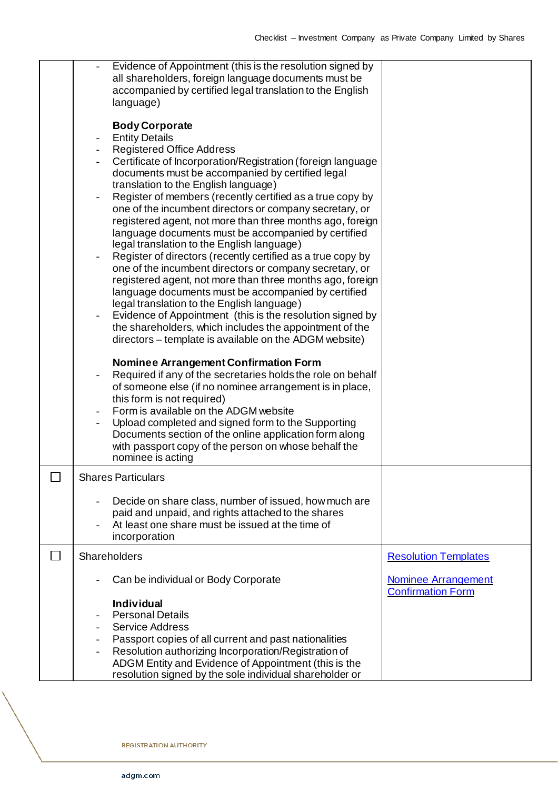| Evidence of Appointment (this is the resolution signed by<br>all shareholders, foreign language documents must be<br>accompanied by certified legal translation to the English<br>language)                                                                                                                                                                                                                                                                                                                                                                                                                                                                                                                                                                                                                                                                                                                                                                                                                           |                                                        |
|-----------------------------------------------------------------------------------------------------------------------------------------------------------------------------------------------------------------------------------------------------------------------------------------------------------------------------------------------------------------------------------------------------------------------------------------------------------------------------------------------------------------------------------------------------------------------------------------------------------------------------------------------------------------------------------------------------------------------------------------------------------------------------------------------------------------------------------------------------------------------------------------------------------------------------------------------------------------------------------------------------------------------|--------------------------------------------------------|
| <b>Body Corporate</b><br><b>Entity Details</b><br><b>Registered Office Address</b><br>Certificate of Incorporation/Registration (foreign language<br>documents must be accompanied by certified legal<br>translation to the English language)<br>Register of members (recently certified as a true copy by<br>one of the incumbent directors or company secretary, or<br>registered agent, not more than three months ago, foreign<br>language documents must be accompanied by certified<br>legal translation to the English language)<br>Register of directors (recently certified as a true copy by<br>one of the incumbent directors or company secretary, or<br>registered agent, not more than three months ago, foreign<br>language documents must be accompanied by certified<br>legal translation to the English language)<br>Evidence of Appointment (this is the resolution signed by<br>the shareholders, which includes the appointment of the<br>directors – template is available on the ADGM website) |                                                        |
| <b>Nominee Arrangement Confirmation Form</b><br>Required if any of the secretaries holds the role on behalf<br>of someone else (if no nominee arrangement is in place,<br>this form is not required)<br>Form is available on the ADGM website<br>Upload completed and signed form to the Supporting<br>Documents section of the online application form along<br>with passport copy of the person on whose behalf the<br>nominee is acting                                                                                                                                                                                                                                                                                                                                                                                                                                                                                                                                                                            |                                                        |
| <b>Shares Particulars</b>                                                                                                                                                                                                                                                                                                                                                                                                                                                                                                                                                                                                                                                                                                                                                                                                                                                                                                                                                                                             |                                                        |
| Decide on share class, number of issued, how much are<br>paid and unpaid, and rights attached to the shares<br>At least one share must be issued at the time of<br>incorporation                                                                                                                                                                                                                                                                                                                                                                                                                                                                                                                                                                                                                                                                                                                                                                                                                                      |                                                        |
| Shareholders                                                                                                                                                                                                                                                                                                                                                                                                                                                                                                                                                                                                                                                                                                                                                                                                                                                                                                                                                                                                          | <b>Resolution Templates</b>                            |
| Can be individual or Body Corporate                                                                                                                                                                                                                                                                                                                                                                                                                                                                                                                                                                                                                                                                                                                                                                                                                                                                                                                                                                                   | <b>Nominee Arrangement</b><br><b>Confirmation Form</b> |
| <b>Individual</b><br><b>Personal Details</b><br><b>Service Address</b><br>Passport copies of all current and past nationalities<br>Resolution authorizing Incorporation/Registration of<br>ADGM Entity and Evidence of Appointment (this is the<br>resolution signed by the sole individual shareholder or                                                                                                                                                                                                                                                                                                                                                                                                                                                                                                                                                                                                                                                                                                            |                                                        |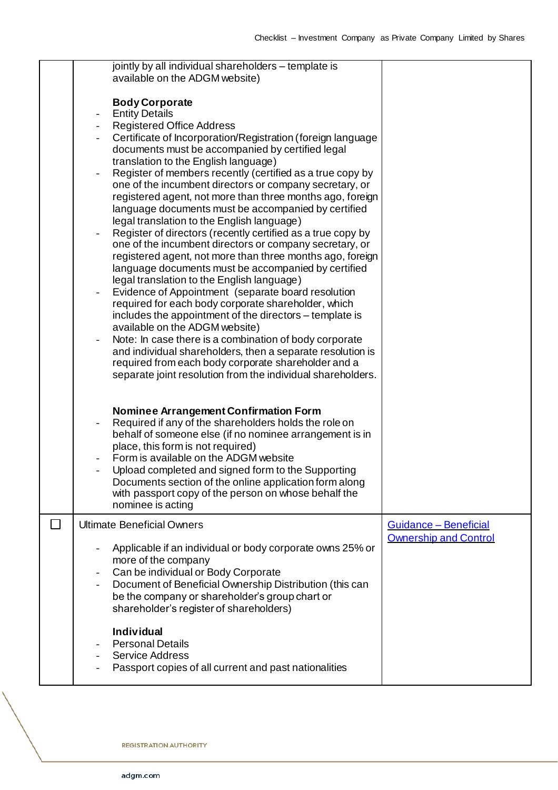|              | jointly by all individual shareholders – template is<br>available on the ADGM website)                                 |                              |
|--------------|------------------------------------------------------------------------------------------------------------------------|------------------------------|
|              |                                                                                                                        |                              |
|              | <b>Body Corporate</b>                                                                                                  |                              |
|              | <b>Entity Details</b>                                                                                                  |                              |
|              | <b>Registered Office Address</b>                                                                                       |                              |
|              | Certificate of Incorporation/Registration (foreign language<br>documents must be accompanied by certified legal        |                              |
|              | translation to the English language)                                                                                   |                              |
|              | Register of members recently (certified as a true copy by<br>$\overline{\phantom{a}}$                                  |                              |
|              | one of the incumbent directors or company secretary, or                                                                |                              |
|              | registered agent, not more than three months ago, foreign                                                              |                              |
|              | language documents must be accompanied by certified                                                                    |                              |
|              | legal translation to the English language)                                                                             |                              |
|              | Register of directors (recently certified as a true copy by<br>one of the incumbent directors or company secretary, or |                              |
|              | registered agent, not more than three months ago, foreign                                                              |                              |
|              | language documents must be accompanied by certified                                                                    |                              |
|              | legal translation to the English language)                                                                             |                              |
|              | Evidence of Appointment (separate board resolution                                                                     |                              |
|              | required for each body corporate shareholder, which                                                                    |                              |
|              | includes the appointment of the directors – template is<br>available on the ADGM website)                              |                              |
|              | Note: In case there is a combination of body corporate                                                                 |                              |
|              | and individual shareholders, then a separate resolution is                                                             |                              |
|              | required from each body corporate shareholder and a                                                                    |                              |
|              | separate joint resolution from the individual shareholders.                                                            |                              |
|              |                                                                                                                        |                              |
|              | <b>Nominee Arrangement Confirmation Form</b>                                                                           |                              |
|              | Required if any of the shareholders holds the role on                                                                  |                              |
|              | behalf of someone else (if no nominee arrangement is in                                                                |                              |
|              | place, this form is not required)                                                                                      |                              |
|              | Form is available on the ADGM website                                                                                  |                              |
|              | Upload completed and signed form to the Supporting                                                                     |                              |
|              | Documents section of the online application form along<br>with passport copy of the person on whose behalf the         |                              |
|              | nominee is acting                                                                                                      |                              |
| $\mathsf{L}$ | <b>Ultimate Beneficial Owners</b>                                                                                      | Guidance - Beneficial        |
|              |                                                                                                                        | <b>Ownership and Control</b> |
|              | Applicable if an individual or body corporate owns 25% or                                                              |                              |
|              | more of the company                                                                                                    |                              |
|              | Can be individual or Body Corporate                                                                                    |                              |
|              | Document of Beneficial Ownership Distribution (this can                                                                |                              |
|              | be the company or shareholder's group chart or<br>shareholder's register of shareholders)                              |                              |
|              |                                                                                                                        |                              |
|              | <b>Individual</b>                                                                                                      |                              |
|              | <b>Personal Details</b>                                                                                                |                              |
|              | <b>Service Address</b>                                                                                                 |                              |
|              | Passport copies of all current and past nationalities                                                                  |                              |
|              |                                                                                                                        |                              |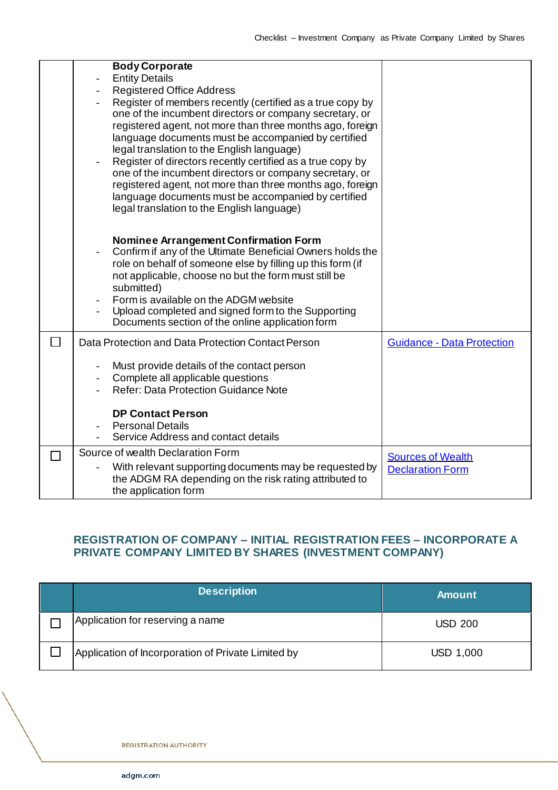| <b>Body Corporate</b>                                                                             |                                   |
|---------------------------------------------------------------------------------------------------|-----------------------------------|
| <b>Entity Details</b>                                                                             |                                   |
| <b>Registered Office Address</b>                                                                  |                                   |
| Register of members recently (certified as a true copy by                                         |                                   |
| one of the incumbent directors or company secretary, or                                           |                                   |
| registered agent, not more than three months ago, foreign                                         |                                   |
| language documents must be accompanied by certified                                               |                                   |
| legal translation to the English language)                                                        |                                   |
| Register of directors recently certified as a true copy by                                        |                                   |
| one of the incumbent directors or company secretary, or                                           |                                   |
| registered agent, not more than three months ago, foreign                                         |                                   |
| language documents must be accompanied by certified<br>legal translation to the English language) |                                   |
|                                                                                                   |                                   |
|                                                                                                   |                                   |
| <b>Nominee Arrangement Confirmation Form</b>                                                      |                                   |
| Confirm if any of the Ultimate Beneficial Owners holds the<br>$\overline{a}$                      |                                   |
| role on behalf of someone else by filling up this form (if                                        |                                   |
| not applicable, choose no but the form must still be                                              |                                   |
| submitted)                                                                                        |                                   |
| Form is available on the ADGM website                                                             |                                   |
| Upload completed and signed form to the Supporting                                                |                                   |
| Documents section of the online application form                                                  |                                   |
| Data Protection and Data Protection Contact Person                                                | <b>Guidance - Data Protection</b> |
| Must provide details of the contact person                                                        |                                   |
| Complete all applicable questions                                                                 |                                   |
| <b>Refer: Data Protection Guidance Note</b>                                                       |                                   |
|                                                                                                   |                                   |
| <b>DP Contact Person</b>                                                                          |                                   |
| <b>Personal Details</b>                                                                           |                                   |
| Service Address and contact details                                                               |                                   |
| Source of wealth Declaration Form                                                                 | <b>Sources of Wealth</b>          |
| With relevant supporting documents may be requested by                                            | <b>Declaration Form</b>           |
| the ADGM RA depending on the risk rating attributed to                                            |                                   |
| the application form                                                                              |                                   |

## **REGISTRATION OF COMPANY – INITIAL REGISTRATION FEES – INCORPORATE A PRIVATE COMPANY LIMITED BY SHARES (INVESTMENT COMPANY)**

| <b>Description</b>                                 | <b>Amount</b>  |
|----------------------------------------------------|----------------|
| Application for reserving a name                   | <b>USD 200</b> |
| Application of Incorporation of Private Limited by | USD 1,000      |